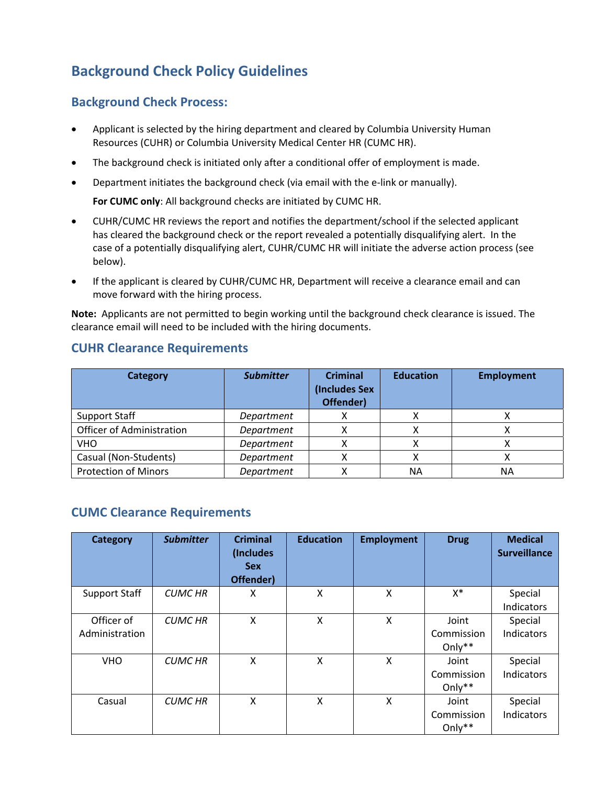# **Background Check Policy Guidelines**

# **Background Check Process:**

- Applicant is selected by the hiring department and cleared by Columbia University Human Resources (CUHR) or Columbia University Medical Center HR (CUMC HR).
- The background check is initiated only after a conditional offer of employment is made.
- Department initiates the background check (via email with the e‐link or manually).

**For CUMC only**: All background checks are initiated by CUMC HR.

- CUHR/CUMC HR reviews the report and notifies the department/school if the selected applicant has cleared the background check or the report revealed a potentially disqualifying alert. In the case of a potentially disqualifying alert, CUHR/CUMC HR will initiate the adverse action process (see below).
- If the applicant is cleared by CUHR/CUMC HR, Department will receive a clearance email and can move forward with the hiring process.

**Note:** Applicants are not permitted to begin working until the background check clearance is issued. The clearance email will need to be included with the hiring documents.

#### **Category** *Submitter* **Criminal (Includes Sex Offender) Education Employment** Support Staff *Department* X X X Officer of Administration *Department* | X | X | X VHO *Department* X X X Casual (Non‐Students) *Department* X X X Protection of Minors *Department* | X | NA | NA

### **CUHR Clearance Requirements**

# **CUMC Clearance Requirements**

| <b>Category</b>              | <b>Submitter</b> | <b>Criminal</b><br>(Includes<br><b>Sex</b><br>Offender) | <b>Education</b> | <b>Employment</b> | <b>Drug</b>                      | <b>Medical</b><br><b>Surveillance</b> |
|------------------------------|------------------|---------------------------------------------------------|------------------|-------------------|----------------------------------|---------------------------------------|
| <b>Support Staff</b>         | <b>CUMC HR</b>   | X                                                       | X                | X                 | X*                               | Special<br>Indicators                 |
| Officer of<br>Administration | <b>CUMC HR</b>   | X                                                       | X                | X                 | Joint<br>Commission<br>Only**    | Special<br>Indicators                 |
| <b>VHO</b>                   | <b>CUMC HR</b>   | X                                                       | X                | X                 | Joint<br>Commission<br>Only**    | Special<br>Indicators                 |
| Casual                       | <b>CUMC HR</b>   | X                                                       | Χ                | X                 | Joint<br>Commission<br>Only $**$ | Special<br>Indicators                 |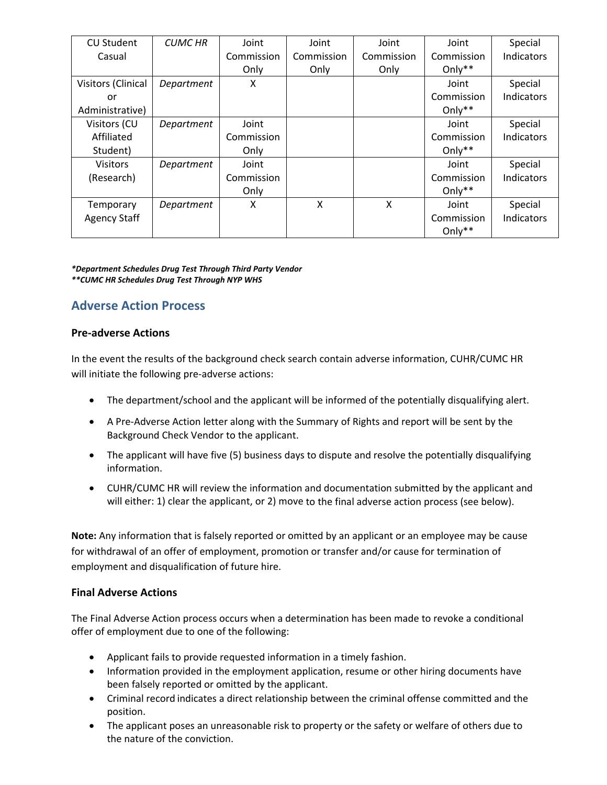| <b>CU Student</b>   | <b>CUMC HR</b> | Joint      | Joint      | Joint      | Joint      | Special           |
|---------------------|----------------|------------|------------|------------|------------|-------------------|
| Casual              |                | Commission | Commission | Commission | Commission | <b>Indicators</b> |
|                     |                | Only       | Only       | Only       | Only $**$  |                   |
| Visitors (Clinical  | Department     | X          |            |            | Joint      | Special           |
| or                  |                |            |            |            | Commission | Indicators        |
| Administrative)     |                |            |            |            | Only $**$  |                   |
| Visitors (CU        | Department     | Joint      |            |            | Joint      | Special           |
| Affiliated          |                | Commission |            |            | Commission | Indicators        |
| Student)            |                | Only       |            |            | Only $**$  |                   |
| <b>Visitors</b>     | Department     | Joint      |            |            | Joint      | Special           |
| (Research)          |                | Commission |            |            | Commission | Indicators        |
|                     |                | Only       |            |            | Only $**$  |                   |
| Temporary           | Department     | X          | X          | X          | Joint      | Special           |
| <b>Agency Staff</b> |                |            |            |            | Commission | Indicators        |
|                     |                |            |            |            | Only $**$  |                   |

*\*Department Schedules Drug Test Through Third Party Vendor \*\*CUMC HR Schedules Drug Test Through NYP WHS*

# **Adverse Action Process**

#### **Pre‐adverse Actions**

In the event the results of the background check search contain adverse information, CUHR/CUMC HR will initiate the following pre-adverse actions:

- The department/school and the applicant will be informed of the potentially disqualifying alert.
- A Pre-Adverse Action letter along with the Summary of Rights and report will be sent by the Background Check Vendor to the applicant.
- The applicant will have five (5) business days to dispute and resolve the potentially disqualifying information.
- CUHR/CUMC HR will review the information and documentation submitted by the applicant and will either: 1) clear the applicant, or 2) move to the final adverse action process (see below).

**Note:** Any information that is falsely reported or omitted by an applicant or an employee may be cause for withdrawal of an offer of employment, promotion or transfer and/or cause for termination of employment and disqualification of future hire.

### **Final Adverse Actions**

The Final Adverse Action process occurs when a determination has been made to revoke a conditional offer of employment due to one of the following:

- Applicant fails to provide requested information in a timely fashion.
- Information provided in the employment application, resume or other hiring documents have been falsely reported or omitted by the applicant.
- Criminal record indicates a direct relationship between the criminal offense committed and the position.
- The applicant poses an unreasonable risk to property or the safety or welfare of others due to the nature of the conviction.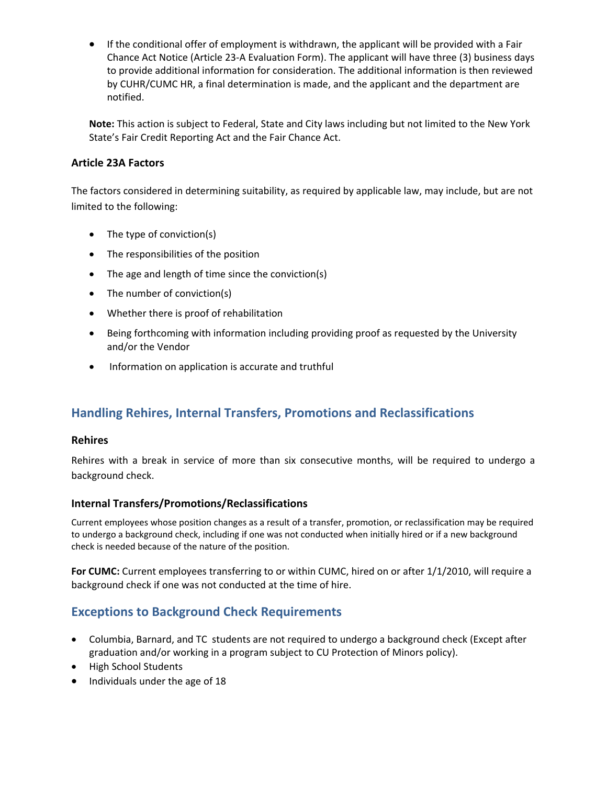If the conditional offer of employment is withdrawn, the applicant will be provided with a Fair Chance Act Notice (Article 23‐A Evaluation Form). The applicant will have three (3) business days to provide additional information for consideration. The additional information is then reviewed by CUHR/CUMC HR, a final determination is made, and the applicant and the department are notified.

**Note:** This action is subject to Federal, State and City laws including but not limited to the New York State's Fair Credit Reporting Act and the Fair Chance Act.

### **Article 23A Factors**

The factors considered in determining suitability, as required by applicable law, may include, but are not limited to the following:

- The type of conviction(s)
- The responsibilities of the position
- The age and length of time since the conviction(s)
- The number of conviction(s)
- Whether there is proof of rehabilitation
- Being forthcoming with information including providing proof as requested by the University and/or the Vendor
- Information on application is accurate and truthful

# **Handling Rehires, Internal Transfers, Promotions and Reclassifications**

### **Rehires**

Rehires with a break in service of more than six consecutive months, will be required to undergo a background check.

### **Internal Transfers/Promotions/Reclassifications**

Current employees whose position changes as a result of a transfer, promotion, or reclassification may be required to undergo a background check, including if one was not conducted when initially hired or if a new background check is needed because of the nature of the position.

**For CUMC:** Current employees transferring to or within CUMC, hired on or after 1/1/2010, will require a background check if one was not conducted at the time of hire.

# **Exceptions to Background Check Requirements**

- Columbia, Barnard, and TC students are not required to undergo a background check (Except after graduation and/or working in a program subject to CU Protection of Minors policy).
- High School Students
- Individuals under the age of 18